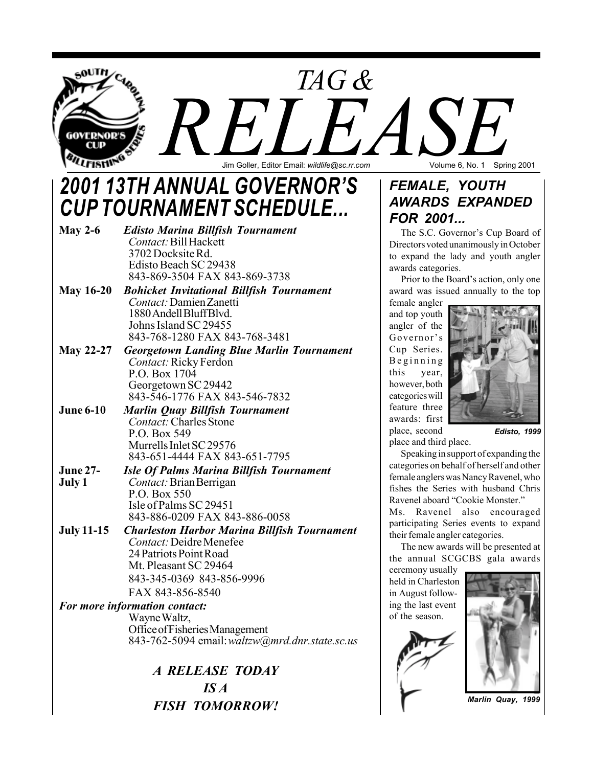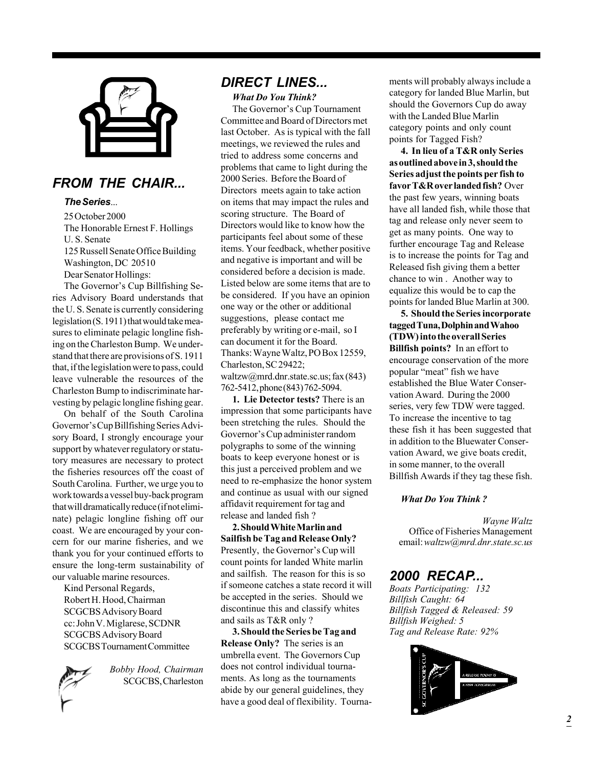

## *FROM THE CHAIR...*

### *The Series*...

25 October 2000 The Honorable Ernest F. Hollings U. S. Senate 125 Russell Senate Office Building Washington, DC 20510 Dear Senator Hollings:

The Governor's Cup Billfishing Series Advisory Board understands that the U. S. Senate is currently considering legislation (S. 1911) that would take measures to eliminate pelagic longline fishing on the Charleston Bump. We understand that there are provisions of S. 1911 that, if the legislation were to pass, could leave vulnerable the resources of the Charleston Bump to indiscriminate harvesting by pelagic longline fishing gear.

On behalf of the South Carolina Governor's Cup Billfishing Series Advisory Board, I strongly encourage your support by whatever regulatory or statutory measures are necessary to protect the fisheries resources off the coast of South Carolina. Further, we urge you to work towards a vessel buy-back program that will dramatically reduce (if not eliminate) pelagic longline fishing off our coast. We are encouraged by your concern for our marine fisheries, and we thank you for your continued efforts to ensure the long-term sustainability of our valuable marine resources.

Kind Personal Regards, Robert H. Hood, Chairman SCGCBS Advisory Board cc: John V. Miglarese, SCDNR SCGCBS Advisory Board SCGCBS Tournament Committee



*Bobby Hood, Chairman* SCGCBS, Charleston

## *DIRECT LINES...*

*What Do You Think?*

The Governor's Cup Tournament Committee and Board of Directors met last October. As is typical with the fall meetings, we reviewed the rules and tried to address some concerns and problems that came to light during the 2000 Series. Before the Board of Directors meets again to take action on items that may impact the rules and scoring structure. The Board of Directors would like to know how the participants feel about some of these items. Your feedback, whether positive and negative is important and will be considered before a decision is made. Listed below are some items that are to be considered. If you have an opinion one way or the other or additional suggestions, please contact me preferably by writing or e-mail, so I can document it for the Board. Thanks: Wayne Waltz, PO Box 12559, Charleston, SC 29422; waltzw@mrd.dnr.state.sc.us; fax (843)

762-5412, phone (843) 762-5094.

**1. Lie Detector tests?** There is an impression that some participants have been stretching the rules. Should the Governor's Cup administer random polygraphs to some of the winning boats to keep everyone honest or is this just a perceived problem and we need to re-emphasize the honor system and continue as usual with our signed affidavit requirement for tag and release and landed fish ?

**2. Should White Marlin and Sailfish be Tag and Release Only?** Presently, the Governor's Cup will count points for landed White marlin and sailfish. The reason for this is so if someone catches a state record it will be accepted in the series. Should we discontinue this and classify whites and sails as T&R only ?

**3. Should the Series be Tag and Release Only?** The series is an umbrella event. The Governors Cup does not control individual tournaments. As long as the tournaments abide by our general guidelines, they have a good deal of flexibility. Tournaments will probably always include a category for landed Blue Marlin, but should the Governors Cup do away with the Landed Blue Marlin category points and only count points for Tagged Fish?

**4. In lieu of a T&R only Series as outlined above in 3, should the Series adjust the points per fish to favor T&R over landed fish?** Over the past few years, winning boats have all landed fish, while those that tag and release only never seem to get as many points. One way to further encourage Tag and Release is to increase the points for Tag and Released fish giving them a better chance to win . Another way to equalize this would be to cap the points for landed Blue Marlin at 300.

**5. Should the Series incorporate tagged Tuna, Dolphin and Wahoo (TDW) into the overall Series Billfish points?** In an effort to encourage conservation of the more popular "meat" fish we have established the Blue Water Conservation Award. During the 2000 series, very few TDW were tagged. To increase the incentive to tag these fish it has been suggested that in addition to the Bluewater Conservation Award, we give boats credit, in some manner, to the overall Billfish Awards if they tag these fish.

#### *What Do You Think ?*

*Wayne Waltz* Office of Fisheries Management email: *waltzw@mrd.dnr.state.sc.us*

### *2000 RECAP...*

*Boats Participating: 132 Billfish Caught: 64 Billfish Tagged & Released: 59 Billfish Weighed: 5 Tag and Release Rate: 92%*

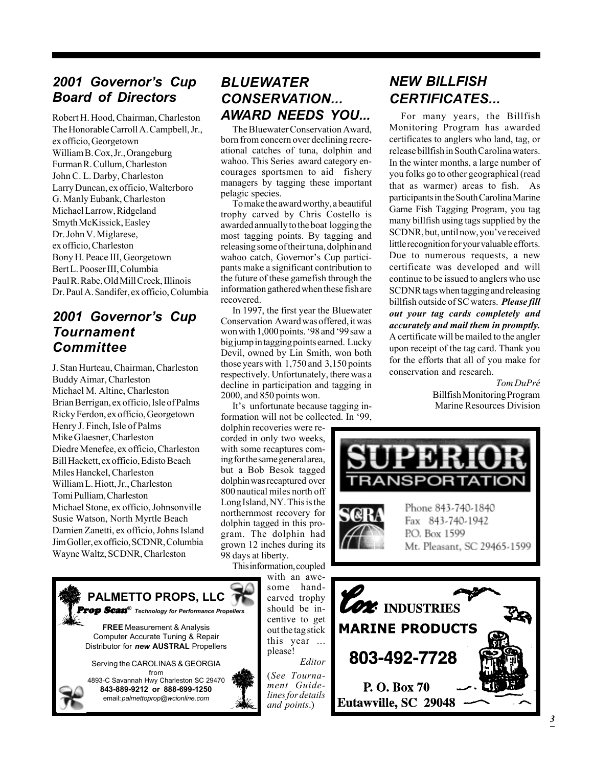## *2001 Governorís Cup Board of Directors*

Robert H. Hood, Chairman, Charleston The Honorable Carroll A. Campbell, Jr., ex officio, Georgetown William B. Cox, Jr., Orangeburg Furman R. Cullum, Charleston John C. L. Darby, Charleston Larry Duncan, ex officio, Walterboro G. Manly Eubank, Charleston Michael Larrow, Ridgeland Smyth McKissick, Easley Dr. John V. Miglarese, ex officio, Charleston Bony H. Peace III, Georgetown Bert L. Pooser III, Columbia Paul R. Rabe, Old Mill Creek, Illinois Dr. Paul A. Sandifer, ex officio, Columbia

## *2001 Governorís Cup Tournament Committee*

J. Stan Hurteau, Chairman, Charleston Buddy Aimar, Charleston Michael M. Altine, Charleston Brian Berrigan, ex officio, Isle of Palms Ricky Ferdon, ex officio, Georgetown Henry J. Finch, Isle of Palms Mike Glaesner, Charleston Diedre Menefee, ex officio, Charleston Bill Hackett, ex officio, Edisto Beach Miles Hanckel, Charleston William L. Hiott, Jr., Charleston Tomi Pulliam, Charleston Michael Stone, ex officio, Johnsonville Susie Watson, North Myrtle Beach Damien Zanetti, ex officio, Johns Island Jim Goller, ex officio, SCDNR, Columbia Wayne Waltz, SCDNR, Charleston

## *BLUEWATER CONSERVATION... AWARD NEEDS YOU...*

The Bluewater Conservation Award, born from concern over declining recreational catches of tuna, dolphin and wahoo. This Series award category encourages sportsmen to aid fishery managers by tagging these important pelagic species.

To make the award worthy, a beautiful trophy carved by Chris Costello is awarded annually to the boat logging the most tagging points. By tagging and releasing some of their tuna, dolphin and wahoo catch, Governor's Cup participants make a significant contribution to the future of these gamefish through the information gathered when these fish are recovered.

In 1997, the first year the Bluewater Conservation Award was offered, it was won with 1,000 points. '98 and '99 saw a big jump in tagging points earned. Lucky Devil, owned by Lin Smith, won both those years with 1,750 and 3,150 points respectively. Unfortunately, there was a decline in participation and tagging in 2000, and 850 points won.

It's unfortunate because tagging information will not be collected. In '99,

dolphin recoveries were recorded in only two weeks, with some recaptures coming for the same general area, but a Bob Besok tagged dolphin was recaptured over 800 nautical miles north off Long Island, NY. This is the northernmost recovery for dolphin tagged in this program. The dolphin had grown 12 inches during its 98 days at liberty.

This information, coupled with an awe-

*Editor*

**PALMETTO PROPS, LLC** Prop Scan*<sup>Æ</sup> Technology for Performance Propellers* **FREE** Measurement & Analysis Computer Accurate Tuning & Repair Distributor for *new* **AUSTRAL** Propellers Serving the CAROLINAS & GEORGIA from 4893-C Savannah Hwy Charleston SC 29470 **843-889-9212 or 888-699-1250** email: *palmettoprop@wcionline.com* some handcarved trophy should be incentive to get out the tag stick this year ... please! (*See Tournament Guidelines for details and points*.)

# *NEW BILLFISH CERTIFICATES...*

For many years, the Billfish Monitoring Program has awarded certificates to anglers who land, tag, or release billfish in South Carolina waters. In the winter months, a large number of you folks go to other geographical (read that as warmer) areas to fish. As participants in the South Carolina Marine Game Fish Tagging Program, you tag many billfish using tags supplied by the SCDNR, but, until now, you've received little recognition for your valuable efforts. Due to numerous requests, a new certificate was developed and will continue to be issued to anglers who use SCDNR tags when tagging and releasing billfish outside of SC waters. *Please fill out your tag cards completely and accurately and mail them in promptly.* A certificate will be mailed to the angler upon receipt of the tag card. Thank you for the efforts that all of you make for conservation and research.

> *Tom DuPrÈ* Billfish Monitoring Program Marine Resources Division



Eutawville, SC 29048